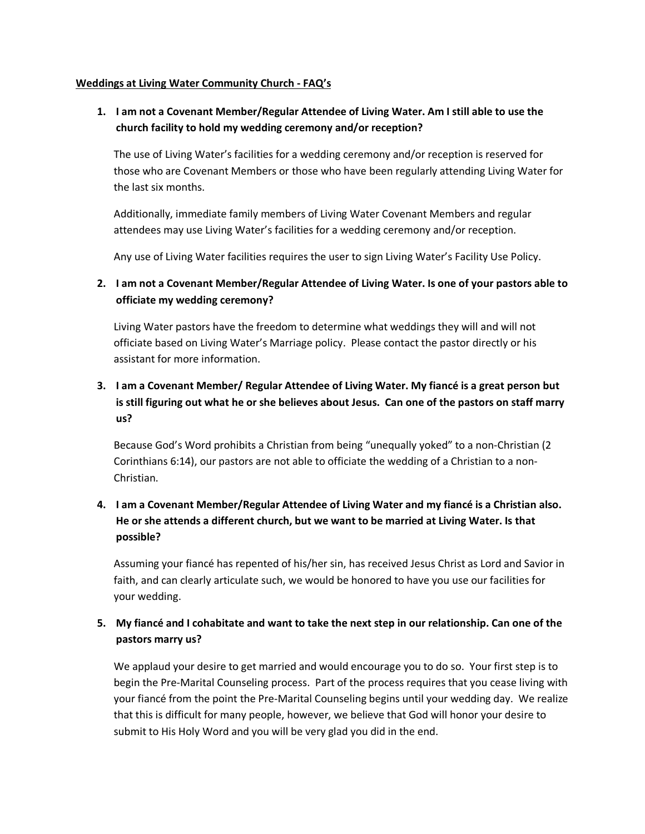#### **Weddings at Living Water Community Church - FAQ's**

## **1. I am not a Covenant Member/Regular Attendee of Living Water. Am I still able to use the church facility to hold my wedding ceremony and/or reception?**

The use of Living Water's facilities for a wedding ceremony and/or reception is reserved for those who are Covenant Members or those who have been regularly attending Living Water for the last six months.

Additionally, immediate family members of Living Water Covenant Members and regular attendees may use Living Water's facilities for a wedding ceremony and/or reception.

Any use of Living Water facilities requires the user to sign Living Water's Facility Use Policy.

## **2. I am not a Covenant Member/Regular Attendee of Living Water. Is one of your pastors able to officiate my wedding ceremony?**

Living Water pastors have the freedom to determine what weddings they will and will not officiate based on Living Water's Marriage policy. Please contact the pastor directly or his assistant for more information.

# **3. I am a Covenant Member/ Regular Attendee of Living Water. My fiancé is a great person but is still figuring out what he or she believes about Jesus. Can one of the pastors on staff marry us?**

Because God's Word prohibits a Christian from being "unequally yoked" to a non-Christian (2 Corinthians 6:14), our pastors are not able to officiate the wedding of a Christian to a non-Christian.

# **4. I am a Covenant Member/Regular Attendee of Living Water and my fiancé is a Christian also. He or she attends a different church, but we want to be married at Living Water. Is that possible?**

Assuming your fiancé has repented of his/her sin, has received Jesus Christ as Lord and Savior in faith, and can clearly articulate such, we would be honored to have you use our facilities for your wedding.

### **5. My fiancé and I cohabitate and want to take the next step in our relationship. Can one of the pastors marry us?**

We applaud your desire to get married and would encourage you to do so. Your first step is to begin the Pre-Marital Counseling process. Part of the process requires that you cease living with your fiancé from the point the Pre-Marital Counseling begins until your wedding day. We realize that this is difficult for many people, however, we believe that God will honor your desire to submit to His Holy Word and you will be very glad you did in the end.